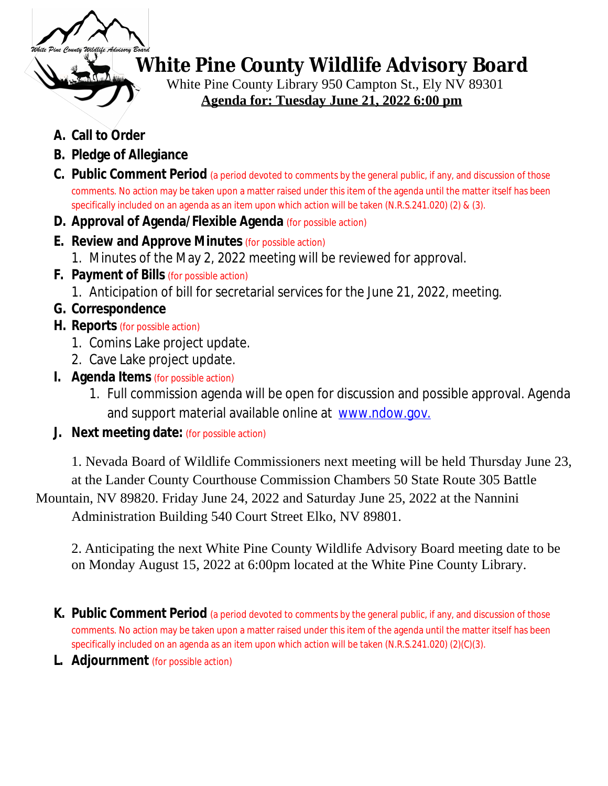

# **White Pine County Wildlife Advisory Board**

White Pine County Library 950 Campton St., Ely NV 89301  **Agenda for: Tuesday June 21, 2022 6:00 pm**

- **A. Call to Order**
- **B. Pledge of Allegiance**
- **C. Public Comment Period** (a period devoted to comments by the general public, if any, and discussion of those comments. No action may be taken upon a matter raised under this item of the agenda until the matter itself has been specifically included on an agenda as an item upon which action will be taken (N.R.S.241.020) (2) & (3).
- **D. Approval of Agenda/Flexible Agenda** (for possible action)
- **E. Review and Approve Minutes** (for possible action)
	- 1. Minutes of the May 2, 2022 meeting will be reviewed for approval.
- **F. Payment of Bills** (for possible action)
	- 1. Anticipation of bill for secretarial services for the June 21, 2022, meeting.
- **G. Correspondence**
- **H. Reports** (for possible action)
	- 1. Comins Lake project update.
	- 2. Cave Lake project update.
- **I. Agenda Items** (for possible action)
	- 1. Full commission agenda will be open for discussion and possible approval. Agenda and support material available online at [www.ndow.gov.](http://www.ndow.gov)
- **J. Next meeting date:** (for possible action)

1. Nevada Board of Wildlife Commissioners next meeting will be held Thursday June 23, at the Lander County Courthouse Commission Chambers 50 State Route 305 Battle Mountain, NV 89820. Friday June 24, 2022 and Saturday June 25, 2022 at the Nannini Administration Building 540 Court Street Elko, NV 89801.

2. Anticipating the next White Pine County Wildlife Advisory Board meeting date to be on Monday August 15, 2022 at 6:00pm located at the White Pine County Library.

- **K. Public Comment Period** (a period devoted to comments by the general public, if any, and discussion of those comments. No action may be taken upon a matter raised under this item of the agenda until the matter itself has been specifically included on an agenda as an item upon which action will be taken (N.R.S.241.020) (2)(C)(3).
- **L. Adjournment** (for possible action)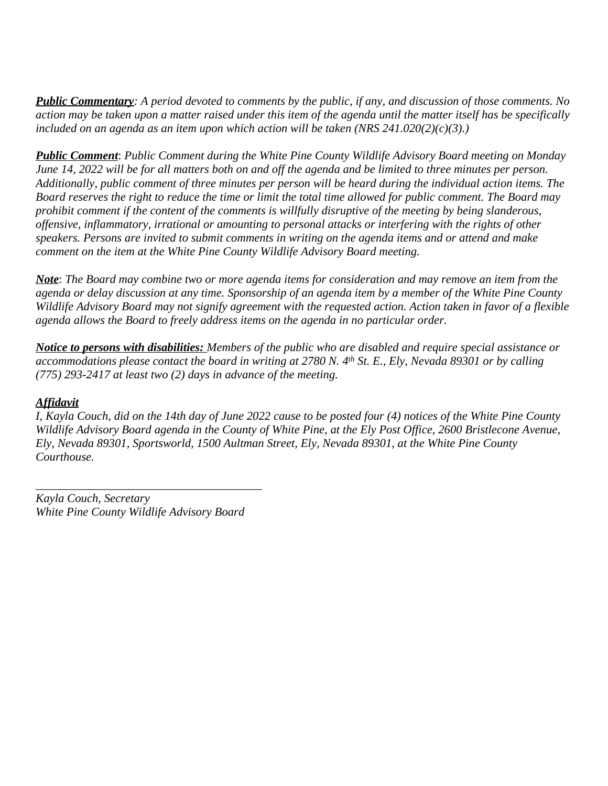*Public Commentary: A period devoted to comments by the public, if any, and discussion of those comments. No action may be taken upon a matter raised under this item of the agenda until the matter itself has be specifically included on an agenda as an item upon which action will be taken (NRS 241.020(2)(c)(3).)*

*Public Comment*: *Public Comment during the White Pine County Wildlife Advisory Board meeting on Monday June 14, 2022 will be for all matters both on and off the agenda and be limited to three minutes per person. Additionally, public comment of three minutes per person will be heard during the individual action items. The Board reserves the right to reduce the time or limit the total time allowed for public comment. The Board may prohibit comment if the content of the comments is willfully disruptive of the meeting by being slanderous, offensive, inflammatory, irrational or amounting to personal attacks or interfering with the rights of other speakers. Persons are invited to submit comments in writing on the agenda items and or attend and make comment on the item at the White Pine County Wildlife Advisory Board meeting.*

*Note*: *The Board may combine two or more agenda items for consideration and may remove an item from the agenda or delay discussion at any time. Sponsorship of an agenda item by a member of the White Pine County Wildlife Advisory Board may not signify agreement with the requested action. Action taken in favor of a flexible agenda allows the Board to freely address items on the agenda in no particular order.*

*Notice to persons with disabilities: Members of the public who are disabled and require special assistance or accommodations please contact the board in writing at 2780 N. 4th St. E., Ely, Nevada 89301 or by calling (775) 293-2417 at least two (2) days in advance of the meeting.*

# *Affidavit*

*I, Kayla Couch, did on the 14th day of June 2022 cause to be posted four (4) notices of the White Pine County Wildlife Advisory Board agenda in the County of White Pine, at the Ely Post Office, 2600 Bristlecone Avenue, Ely, Nevada 89301, Sportsworld, 1500 Aultman Street, Ely, Nevada 89301, at the White Pine County Courthouse.*

*Kayla Couch, Secretary White Pine County Wildlife Advisory Board*

*\_\_\_\_\_\_\_\_\_\_\_\_\_\_\_\_\_\_\_\_\_\_\_\_\_\_\_\_\_\_\_\_\_\_\_\_\_\_*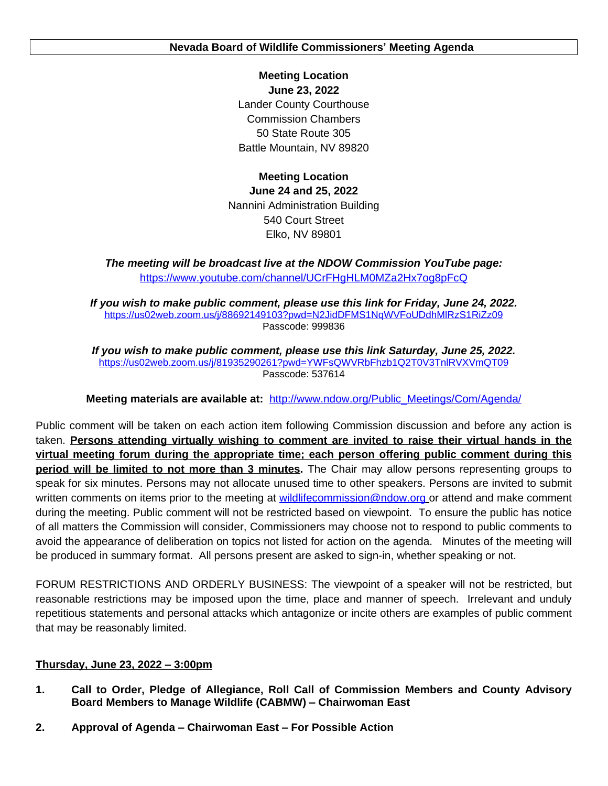**Meeting Location June 23, 2022** Lander County Courthouse Commission Chambers 50 State Route 305 Battle Mountain, NV 89820

**Meeting Location June 24 and 25, 2022** Nannini Administration Building 540 Court Street Elko, NV 89801

*The meeting will be broadcast live at the NDOW Commission YouTube page:* <https://www.youtube.com/channel/UCrFHgHLM0MZa2Hx7og8pFcQ>

*If you wish to make public comment, please use this link for Friday, June 24, 2022.* <https://us02web.zoom.us/j/88692149103?pwd=N2JidDFMS1NqWVFoUDdhMlRzS1RiZz09> Passcode: 999836

*If you wish to make public comment, please use this link Saturday, June 25, 2022.* <https://us02web.zoom.us/j/81935290261?pwd=YWFsQWVRbFhzb1Q2T0V3TnlRVXVmQT09> Passcode: 537614

**Meeting materials are available at:** [http://www.ndow.org/Public\\_Meetings/Com/Agenda/](http://www.ndow.org/Public_Meetings/Com/Agenda/)

Public comment will be taken on each action item following Commission discussion and before any action is taken. **Persons attending virtually wishing to comment are invited to raise their virtual hands in the virtual meeting forum during the appropriate time; each person offering public comment during this period will be limited to not more than 3 minutes.** The Chair may allow persons representing groups to speak for six minutes. Persons may not allocate unused time to other speakers. Persons are invited to submit written comments on items prior to the meeting at [wildlifecommission@ndow.org](mailto:wildlifecommission@ndow.org) or attend and make comment during the meeting. Public comment will not be restricted based on viewpoint. To ensure the public has notice of all matters the Commission will consider, Commissioners may choose not to respond to public comments to avoid the appearance of deliberation on topics not listed for action on the agenda. Minutes of the meeting will be produced in summary format. All persons present are asked to sign-in, whether speaking or not.

FORUM RESTRICTIONS AND ORDERLY BUSINESS: The viewpoint of a speaker will not be restricted, but reasonable restrictions may be imposed upon the time, place and manner of speech. Irrelevant and unduly repetitious statements and personal attacks which antagonize or incite others are examples of public comment that may be reasonably limited.

# **Thursday, June 23, 2022 – 3:00pm**

- **1. Call to Order, Pledge of Allegiance, Roll Call of Commission Members and County Advisory Board Members to Manage Wildlife (CABMW) – Chairwoman East**
- **2. Approval of Agenda – Chairwoman East – For Possible Action**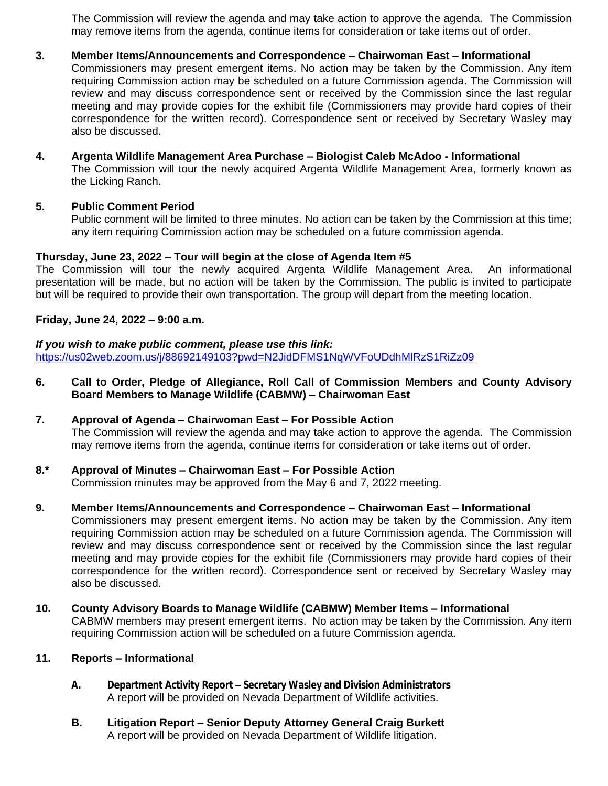The Commission will review the agenda and may take action to approve the agenda. The Commission may remove items from the agenda, continue items for consideration or take items out of order.

# **3. Member Items/Announcements and Correspondence – Chairwoman East – Informational**

Commissioners may present emergent items. No action may be taken by the Commission. Any item requiring Commission action may be scheduled on a future Commission agenda. The Commission will review and may discuss correspondence sent or received by the Commission since the last regular meeting and may provide copies for the exhibit file (Commissioners may provide hard copies of their correspondence for the written record). Correspondence sent or received by Secretary Wasley may also be discussed.

#### **4. Argenta Wildlife Management Area Purchase – Biologist Caleb McAdoo - Informational** The Commission will tour the newly acquired Argenta Wildlife Management Area, formerly known as the Licking Ranch.

## **5. Public Comment Period**

Public comment will be limited to three minutes. No action can be taken by the Commission at this time; any item requiring Commission action may be scheduled on a future commission agenda.

## **Thursday, June 23, 2022 – Tour will begin at the close of Agenda Item #5**

The Commission will tour the newly acquired Argenta Wildlife Management Area. An informational presentation will be made, but no action will be taken by the Commission. The public is invited to participate but will be required to provide their own transportation. The group will depart from the meeting location.

#### **Friday, June 24, 2022 – 9:00 a.m.**

## *If you wish to make public comment, please use this link:* <https://us02web.zoom.us/j/88692149103?pwd=N2JidDFMS1NqWVFoUDdhMlRzS1RiZz09>

**6. Call to Order, Pledge of Allegiance, Roll Call of Commission Members and County Advisory Board Members to Manage Wildlife (CABMW) – Chairwoman East**

# **7. Approval of Agenda – Chairwoman East – For Possible Action** The Commission will review the agenda and may take action to approve the agenda. The Commission may remove items from the agenda, continue items for consideration or take items out of order.

## **8.\* Approval of Minutes – Chairwoman East – For Possible Action** Commission minutes may be approved from the May 6 and 7, 2022 meeting.

#### **9. Member Items/Announcements and Correspondence – Chairwoman East – Informational** Commissioners may present emergent items. No action may be taken by the Commission. Any item requiring Commission action may be scheduled on a future Commission agenda. The Commission will review and may discuss correspondence sent or received by the Commission since the last regular meeting and may provide copies for the exhibit file (Commissioners may provide hard copies of their correspondence for the written record). Correspondence sent or received by Secretary Wasley may also be discussed.

**10. County Advisory Boards to Manage Wildlife (CABMW) Member Items – Informational** CABMW members may present emergent items. No action may be taken by the Commission. Any item requiring Commission action will be scheduled on a future Commission agenda.

# **11. Reports – Informational**

- **A. Department Activity Report – Secretary Wasley and Division Administrators** A report will be provided on Nevada Department of Wildlife activities.
- **B. Litigation Report – Senior Deputy Attorney General Craig Burkett** A report will be provided on Nevada Department of Wildlife litigation.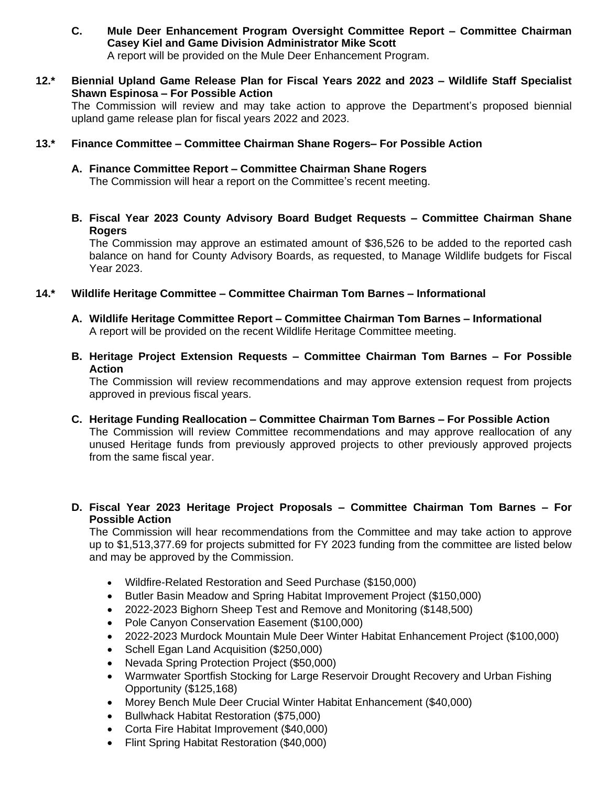- **C. Mule Deer Enhancement Program Oversight Committee Report – Committee Chairman Casey Kiel and Game Division Administrator Mike Scott** A report will be provided on the Mule Deer Enhancement Program.
- **12.\* Biennial Upland Game Release Plan for Fiscal Years 2022 and 2023 – Wildlife Staff Specialist Shawn Espinosa – For Possible Action**

The Commission will review and may take action to approve the Department's proposed biennial upland game release plan for fiscal years 2022 and 2023.

# **13.\* Finance Committee – Committee Chairman Shane Rogers– For Possible Action**

- **A. Finance Committee Report – Committee Chairman Shane Rogers** The Commission will hear a report on the Committee's recent meeting.
- **B. Fiscal Year 2023 County Advisory Board Budget Requests – Committee Chairman Shane Rogers**

The Commission may approve an estimated amount of \$36,526 to be added to the reported cash balance on hand for County Advisory Boards, as requested, to Manage Wildlife budgets for Fiscal Year 2023.

- **14.\* Wildlife Heritage Committee – Committee Chairman Tom Barnes – Informational**
	- **A. Wildlife Heritage Committee Report – Committee Chairman Tom Barnes – Informational** A report will be provided on the recent Wildlife Heritage Committee meeting.
	- **B. Heritage Project Extension Requests – Committee Chairman Tom Barnes – For Possible Action**

The Commission will review recommendations and may approve extension request from projects approved in previous fiscal years.

- **C. Heritage Funding Reallocation – Committee Chairman Tom Barnes – For Possible Action** The Commission will review Committee recommendations and may approve reallocation of any unused Heritage funds from previously approved projects to other previously approved projects from the same fiscal year.
- **D. Fiscal Year 2023 Heritage Project Proposals – Committee Chairman Tom Barnes – For Possible Action**

The Commission will hear recommendations from the Committee and may take action to approve up to \$1,513,377.69 for projects submitted for FY 2023 funding from the committee are listed below and may be approved by the Commission.

- Wildfire-Related Restoration and Seed Purchase (\$150,000)
- Butler Basin Meadow and Spring Habitat Improvement Project (\$150,000)
- 2022-2023 Bighorn Sheep Test and Remove and Monitoring (\$148,500)
- Pole Canyon Conservation Easement (\$100,000)
- 2022-2023 Murdock Mountain Mule Deer Winter Habitat Enhancement Project (\$100,000)
- Schell Egan Land Acquisition (\$250,000)
- Nevada Spring Protection Project (\$50,000)
- Warmwater Sportfish Stocking for Large Reservoir Drought Recovery and Urban Fishing Opportunity (\$125,168)
- Morey Bench Mule Deer Crucial Winter Habitat Enhancement (\$40,000)
- **Bullwhack Habitat Restoration (\$75,000)**
- Corta Fire Habitat Improvement (\$40,000)
- Flint Spring Habitat Restoration (\$40,000)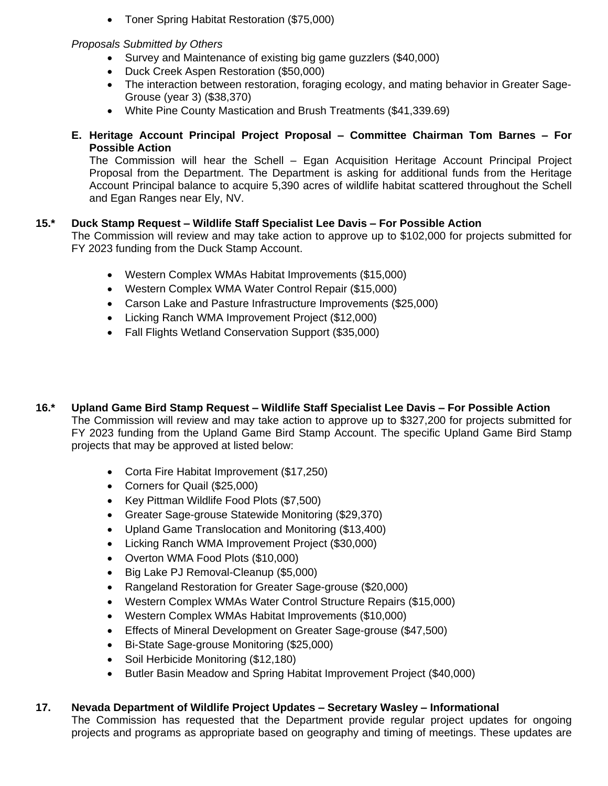Toner Spring Habitat Restoration (\$75,000)

# *Proposals Submitted by Others*

- Survey and Maintenance of existing big game guzzlers (\$40,000)
- Duck Creek Aspen Restoration (\$50,000)
- The interaction between restoration, foraging ecology, and mating behavior in Greater Sage-Grouse (year 3) (\$38,370)
- White Pine County Mastication and Brush Treatments (\$41,339.69)
- **E. Heritage Account Principal Project Proposal – Committee Chairman Tom Barnes – For Possible Action**

The Commission will hear the Schell – Egan Acquisition Heritage Account Principal Project Proposal from the Department. The Department is asking for additional funds from the Heritage Account Principal balance to acquire 5,390 acres of wildlife habitat scattered throughout the Schell and Egan Ranges near Ely, NV.

# **15.\* Duck Stamp Request – Wildlife Staff Specialist Lee Davis – For Possible Action**

The Commission will review and may take action to approve up to \$102,000 for projects submitted for FY 2023 funding from the Duck Stamp Account.

- Western Complex WMAs Habitat Improvements (\$15,000)
- Western Complex WMA Water Control Repair (\$15,000)
- Carson Lake and Pasture Infrastructure Improvements (\$25,000)
- Licking Ranch WMA Improvement Project (\$12,000)
- Fall Flights Wetland Conservation Support (\$35,000)
- **16.\* Upland Game Bird Stamp Request – Wildlife Staff Specialist Lee Davis – For Possible Action** The Commission will review and may take action to approve up to \$327,200 for projects submitted for FY 2023 funding from the Upland Game Bird Stamp Account. The specific Upland Game Bird Stamp projects that may be approved at listed below:
	- Corta Fire Habitat Improvement (\$17,250)
	- Corners for Quail (\$25,000)
	- Key Pittman Wildlife Food Plots (\$7,500)
	- Greater Sage-grouse Statewide Monitoring (\$29,370)
	- Upland Game Translocation and Monitoring (\$13,400)
	- Licking Ranch WMA Improvement Project (\$30,000)
	- Overton WMA Food Plots (\$10,000)
	- Big Lake PJ Removal-Cleanup (\$5,000)
	- Rangeland Restoration for Greater Sage-grouse (\$20,000)
	- Western Complex WMAs Water Control Structure Repairs (\$15,000)
	- Western Complex WMAs Habitat Improvements (\$10,000)
	- Effects of Mineral Development on Greater Sage-grouse (\$47,500)
	- Bi-State Sage-grouse Monitoring (\$25,000)
	- Soil Herbicide Monitoring (\$12,180)
	- Butler Basin Meadow and Spring Habitat Improvement Project (\$40,000)

# **17. Nevada Department of Wildlife Project Updates – Secretary Wasley – Informational**

The Commission has requested that the Department provide regular project updates for ongoing projects and programs as appropriate based on geography and timing of meetings. These updates are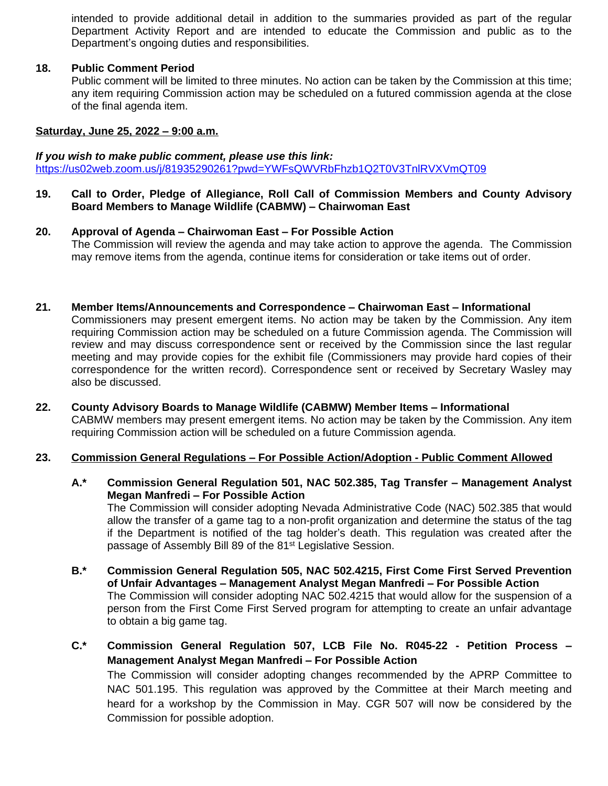intended to provide additional detail in addition to the summaries provided as part of the regular Department Activity Report and are intended to educate the Commission and public as to the Department's ongoing duties and responsibilities.

## **18. Public Comment Period**

Public comment will be limited to three minutes. No action can be taken by the Commission at this time; any item requiring Commission action may be scheduled on a futured commission agenda at the close of the final agenda item.

## **Saturday, June 25, 2022 – 9:00 a.m.**

#### *If you wish to make public comment, please use this link:*

<https://us02web.zoom.us/j/81935290261?pwd=YWFsQWVRbFhzb1Q2T0V3TnlRVXVmQT09>

- **19. Call to Order, Pledge of Allegiance, Roll Call of Commission Members and County Advisory Board Members to Manage Wildlife (CABMW) – Chairwoman East**
- **20. Approval of Agenda – Chairwoman East – For Possible Action** The Commission will review the agenda and may take action to approve the agenda. The Commission may remove items from the agenda, continue items for consideration or take items out of order.
- **21. Member Items/Announcements and Correspondence – Chairwoman East – Informational**

Commissioners may present emergent items. No action may be taken by the Commission. Any item requiring Commission action may be scheduled on a future Commission agenda. The Commission will review and may discuss correspondence sent or received by the Commission since the last regular meeting and may provide copies for the exhibit file (Commissioners may provide hard copies of their correspondence for the written record). Correspondence sent or received by Secretary Wasley may also be discussed.

**22. County Advisory Boards to Manage Wildlife (CABMW) Member Items – Informational** CABMW members may present emergent items. No action may be taken by the Commission. Any item requiring Commission action will be scheduled on a future Commission agenda.

#### **23. Commission General Regulations – For Possible Action/Adoption - Public Comment Allowed**

**A.\* Commission General Regulation 501, NAC 502.385, Tag Transfer – Management Analyst Megan Manfredi – For Possible Action**

The Commission will consider adopting Nevada Administrative Code (NAC) 502.385 that would allow the transfer of a game tag to a non-profit organization and determine the status of the tag if the Department is notified of the tag holder's death. This regulation was created after the passage of Assembly Bill 89 of the 81<sup>st</sup> Legislative Session.

- **B.\* Commission General Regulation 505, NAC 502.4215, First Come First Served Prevention of Unfair Advantages – Management Analyst Megan Manfredi – For Possible Action** The Commission will consider adopting NAC 502.4215 that would allow for the suspension of a person from the First Come First Served program for attempting to create an unfair advantage to obtain a big game tag.
- **C.\* Commission General Regulation 507, LCB File No. R045-22 - Petition Process – Management Analyst Megan Manfredi – For Possible Action**

The Commission will consider adopting changes recommended by the APRP Committee to NAC 501.195. This regulation was approved by the Committee at their March meeting and heard for a workshop by the Commission in May. CGR 507 will now be considered by the Commission for possible adoption.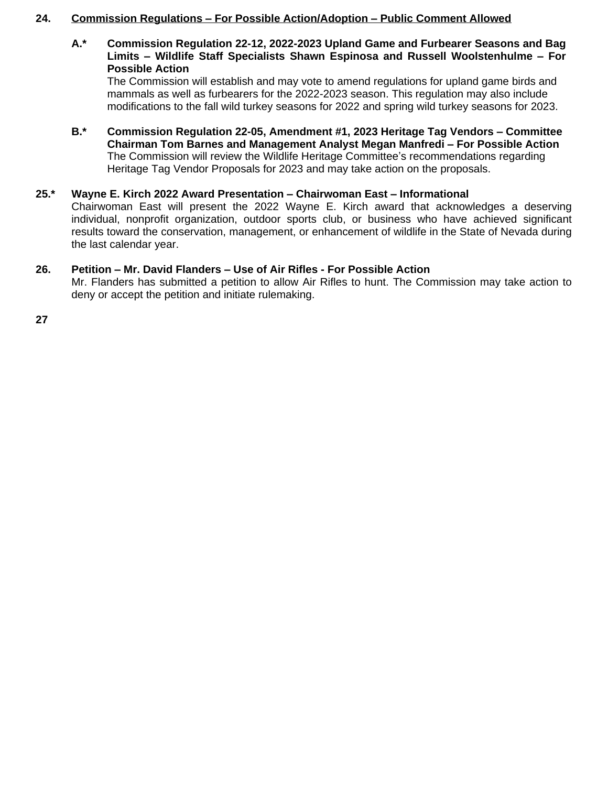# **24. Commission Regulations – For Possible Action/Adoption – Public Comment Allowed**

**A.\* Commission Regulation 22-12, 2022-2023 Upland Game and Furbearer Seasons and Bag Limits – Wildlife Staff Specialists Shawn Espinosa and Russell Woolstenhulme – For Possible Action**

The Commission will establish and may vote to amend regulations for upland game birds and mammals as well as furbearers for the 2022-2023 season. This regulation may also include modifications to the fall wild turkey seasons for 2022 and spring wild turkey seasons for 2023.

**B.\* Commission Regulation 22-05, Amendment #1, 2023 Heritage Tag Vendors – Committee Chairman Tom Barnes and Management Analyst Megan Manfredi – For Possible Action** The Commission will review the Wildlife Heritage Committee's recommendations regarding Heritage Tag Vendor Proposals for 2023 and may take action on the proposals.

## **25.\* Wayne E. Kirch 2022 Award Presentation – Chairwoman East – Informational**

Chairwoman East will present the 2022 Wayne E. Kirch award that acknowledges a deserving individual, nonprofit organization, outdoor sports club, or business who have achieved significant results toward the conservation, management, or enhancement of wildlife in the State of Nevada during the last calendar year.

## **26. Petition – Mr. David Flanders – Use of Air Rifles - For Possible Action**

Mr. Flanders has submitted a petition to allow Air Rifles to hunt. The Commission may take action to deny or accept the petition and initiate rulemaking.

**27**